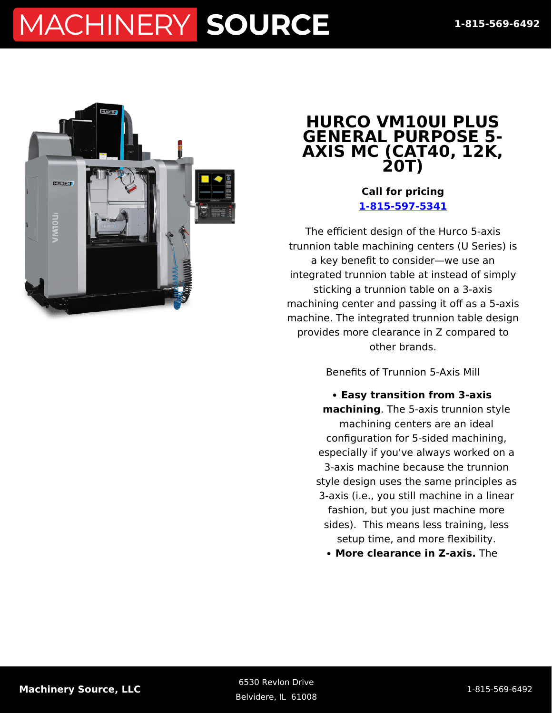

#### **HURCO VM10UI PLUS GENERAL PURPOSE 5- AXIS MC (CAT40, 12K, 20T)**

**Call for pricing [1-815-597-5341](#page--1-0)**

The efficient design of the Hurco 5-axis trunnion table machining centers (U Series) is a key benefit to consider—we use an integrated trunnion table at instead of simply sticking a trunnion table on a 3-axis machining center and passing it off as a 5-axis machine. The integrated trunnion table design provides more clearance in Z compared to other brands.

Benefits of Trunnion 5-Axis Mill

**Easy transition from 3-axis machining**. The 5-axis trunnion style machining centers are an ideal configuration for 5-sided machining, especially if you've always worked on a 3-axis machine because the trunnion style design uses the same principles as 3-axis (i.e., you still machine in a linear fashion, but you just machine more sides). This means less training, less setup time, and more flexibility.

**More clearance in Z-axis.** The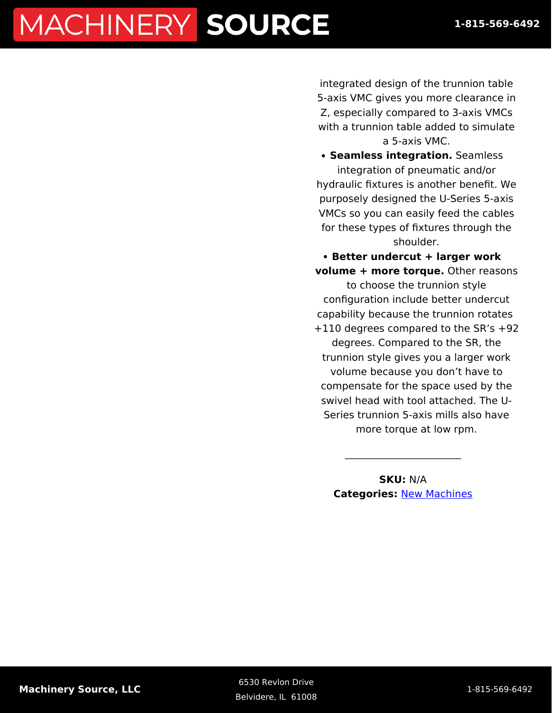integrated design of the trunnion table 5-axis VMC gives you more clearance in Z, especially compared to 3-axis VMCs with a trunnion table added to simulate a 5-axis VMC.

**• Seamless integration.** Seamless integration of pneumatic and/or hydraulic fixtures is another benefit. We purposely designed the U-Series 5-axis VMCs so you can easily feed the cables for these types of fixtures through the shoulder.

**Better undercut + larger work volume + more torque.** Other reasons to choose the trunnion style configuration include better undercut capability because the trunnion rotates +110 degrees compared to the SR's +92 degrees. Compared to the SR, the trunnion style gives you a larger work volume because you don't have to compensate for the space used by the swivel head with tool attached. The U-Series trunnion 5-axis mills also have more torque at low rpm.

> **SKU:** N/A **Categories:** [New Machines](https://machinerysource.com/product-category/machining-centers/)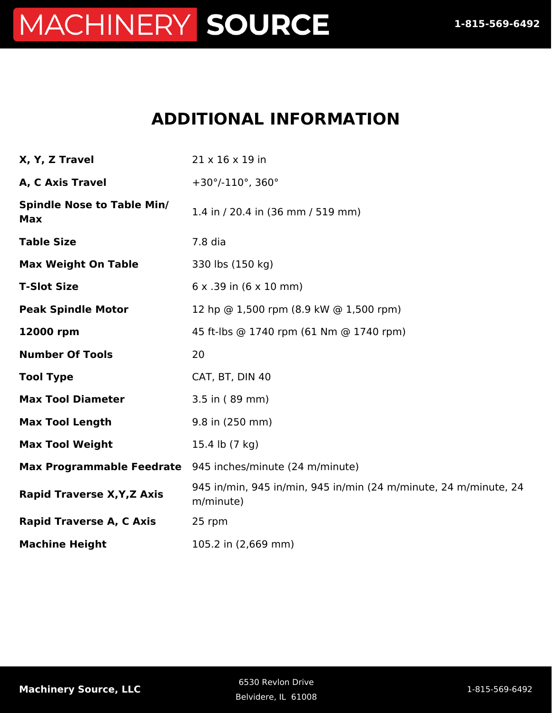### **ADDITIONAL INFORMATION**

| X, Y, Z Travel                                  | 21 x 16 x 19 in                                                               |
|-------------------------------------------------|-------------------------------------------------------------------------------|
| A, C Axis Travel                                | $+30^{\circ}/-110^{\circ}$ , 360°                                             |
| <b>Spindle Nose to Table Min/</b><br><b>Max</b> | 1.4 in / 20.4 in (36 mm / 519 mm)                                             |
| <b>Table Size</b>                               | 7.8 dia                                                                       |
| <b>Max Weight On Table</b>                      | 330 lbs (150 kg)                                                              |
| <b>T-Slot Size</b>                              | $6x.39$ in $(6x10$ mm)                                                        |
| <b>Peak Spindle Motor</b>                       | 12 hp @ 1,500 rpm (8.9 kW @ 1,500 rpm)                                        |
| 12000 rpm                                       | 45 ft-lbs @ 1740 rpm (61 Nm @ 1740 rpm)                                       |
| <b>Number Of Tools</b>                          | 20                                                                            |
| <b>Tool Type</b>                                | CAT, BT, DIN 40                                                               |
| <b>Max Tool Diameter</b>                        | 3.5 in (89 mm)                                                                |
| <b>Max Tool Length</b>                          | 9.8 in (250 mm)                                                               |
| <b>Max Tool Weight</b>                          | 15.4 lb (7 kg)                                                                |
|                                                 | Max Programmable Feedrate 945 inches/minute (24 m/minute)                     |
| <b>Rapid Traverse X, Y, Z Axis</b>              | 945 in/min, 945 in/min, 945 in/min (24 m/minute, 24 m/minute, 24<br>m/minute) |
| <b>Rapid Traverse A, C Axis</b>                 | 25 rpm                                                                        |
| <b>Machine Height</b>                           | 105.2 in (2,669 mm)                                                           |